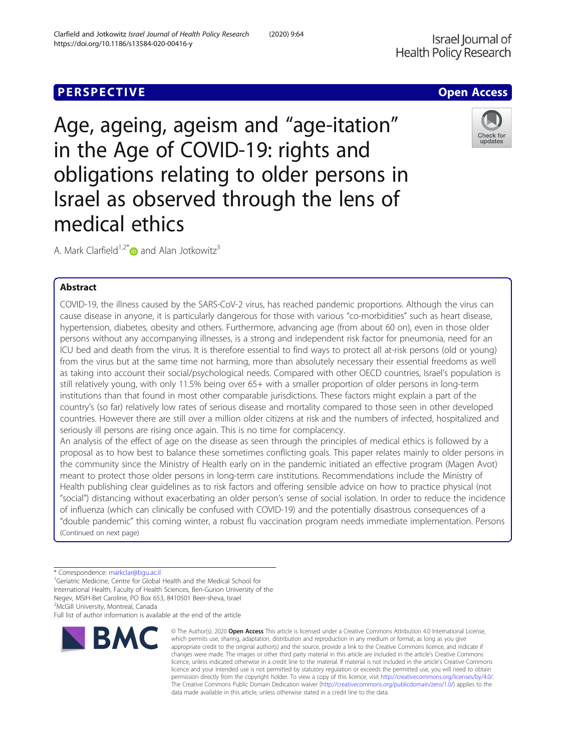# **PERSPECTIVE CONSUMING ACCESS**

Age, ageing, ageism and "age-itation" in the Age of COVID-19: rights and obligations relating to older persons in Israel as observed through the lens of medical ethics

A. Mark Clarfield<sup>1,2[\\*](http://orcid.org/0000-0002-0388-5663)</sup> and Alan Jotkowitz<sup>3</sup>

# Abstract

COVID-19, the illness caused by the SARS-CoV-2 virus, has reached pandemic proportions. Although the virus can cause disease in anyone, it is particularly dangerous for those with various "co-morbidities" such as heart disease, hypertension, diabetes, obesity and others. Furthermore, advancing age (from about 60 on), even in those older persons without any accompanying illnesses, is a strong and independent risk factor for pneumonia, need for an ICU bed and death from the virus. It is therefore essential to find ways to protect all at-risk persons (old or young) from the virus but at the same time not harming, more than absolutely necessary their essential freedoms as well as taking into account their social/psychological needs. Compared with other OECD countries, Israel's population is still relatively young, with only 11.5% being over 65+ with a smaller proportion of older persons in long-term institutions than that found in most other comparable jurisdictions. These factors might explain a part of the country's (so far) relatively low rates of serious disease and mortality compared to those seen in other developed countries. However there are still over a million older citizens at risk and the numbers of infected, hospitalized and seriously ill persons are rising once again. This is no time for complacency.

An analysis of the effect of age on the disease as seen through the principles of medical ethics is followed by a proposal as to how best to balance these sometimes conflicting goals. This paper relates mainly to older persons in the community since the Ministry of Health early on in the pandemic initiated an effective program (Magen Avot) meant to protect those older persons in long-term care institutions. Recommendations include the Ministry of Health publishing clear guidelines as to risk factors and offering sensible advice on how to practice physical (not "social") distancing without exacerbating an older person's sense of social isolation. In order to reduce the incidence of influenza (which can clinically be confused with COVID-19) and the potentially disastrous consequences of a "double pandemic" this coming winter, a robust flu vaccination program needs immediate implementation. Persons (Continued on next page)

\* Correspondence: [markclar@bgu.ac.il](mailto:markclar@bgu.ac.il) <sup>1</sup>

<sup>1</sup>Geriatric Medicine, Centre for Global Health and the Medical School for International Health, Faculty of Health Sciences, Ben-Gurion University of the Negev, MSIH-Bet Caroline, PO Box 653, 8410501 Beer-sheva, Israel

<sup>2</sup>McGill University, Montreal, Canada

Full list of author information is available at the end of the article

**BMC** 

#### © The Author(s), 2020 **Open Access** This article is licensed under a Creative Commons Attribution 4.0 International License, which permits use, sharing, adaptation, distribution and reproduction in any medium or format, as long as you give appropriate credit to the original author(s) and the source, provide a link to the Creative Commons licence, and indicate if changes were made. The images or other third party material in this article are included in the article's Creative Commons licence, unless indicated otherwise in a credit line to the material. If material is not included in the article's Creative Commons licence and your intended use is not permitted by statutory regulation or exceeds the permitted use, you will need to obtain permission directly from the copyright holder. To view a copy of this licence, visit [http://creativecommons.org/licenses/by/4.0/.](http://creativecommons.org/licenses/by/4.0/) The Creative Commons Public Domain Dedication waiver [\(http://creativecommons.org/publicdomain/zero/1.0/](http://creativecommons.org/publicdomain/zero/1.0/)) applies to the data made available in this article, unless otherwise stated in a credit line to the data.

Clarfield and Jotkowitz Israel Journal of Health Policy Research (2020) 9:64 https://doi.org/10.1186/s13584-020-00416-y

Israel Journal of **Health Policy Research** 

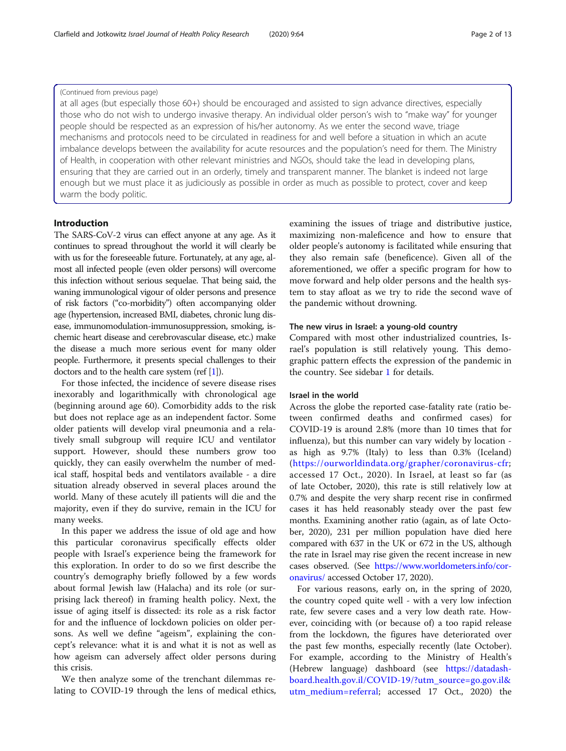# (Continued from previous page)

at all ages (but especially those 60+) should be encouraged and assisted to sign advance directives, especially those who do not wish to undergo invasive therapy. An individual older person's wish to "make way" for younger people should be respected as an expression of his/her autonomy. As we enter the second wave, triage mechanisms and protocols need to be circulated in readiness for and well before a situation in which an acute imbalance develops between the availability for acute resources and the population's need for them. The Ministry of Health, in cooperation with other relevant ministries and NGOs, should take the lead in developing plans, ensuring that they are carried out in an orderly, timely and transparent manner. The blanket is indeed not large enough but we must place it as judiciously as possible in order as much as possible to protect, cover and keep warm the body politic.

# Introduction

The SARS-CoV-2 virus can effect anyone at any age. As it continues to spread throughout the world it will clearly be with us for the foreseeable future. Fortunately, at any age, almost all infected people (even older persons) will overcome this infection without serious sequelae. That being said, the waning immunological vigour of older persons and presence of risk factors ("co-morbidity") often accompanying older age (hypertension, increased BMI, diabetes, chronic lung disease, immunomodulation-immunosuppression, smoking, ischemic heart disease and cerebrovascular disease, etc.) make the disease a much more serious event for many older people. Furthermore, it presents special challenges to their doctors and to the health care system (ref [[1](#page-11-0)]).

For those infected, the incidence of severe disease rises inexorably and logarithmically with chronological age (beginning around age 60). Comorbidity adds to the risk but does not replace age as an independent factor. Some older patients will develop viral pneumonia and a relatively small subgroup will require ICU and ventilator support. However, should these numbers grow too quickly, they can easily overwhelm the number of medical staff, hospital beds and ventilators available - a dire situation already observed in several places around the world. Many of these acutely ill patients will die and the majority, even if they do survive, remain in the ICU for many weeks.

In this paper we address the issue of old age and how this particular coronavirus specifically effects older people with Israel's experience being the framework for this exploration. In order to do so we first describe the country's demography briefly followed by a few words about formal Jewish law (Halacha) and its role (or surprising lack thereof) in framing health policy. Next, the issue of aging itself is dissected: its role as a risk factor for and the influence of lockdown policies on older persons. As well we define "ageism", explaining the concept's relevance: what it is and what it is not as well as how ageism can adversely affect older persons during this crisis.

We then analyze some of the trenchant dilemmas relating to COVID-19 through the lens of medical ethics, examining the issues of triage and distributive justice, maximizing non-maleficence and how to ensure that older people's autonomy is facilitated while ensuring that they also remain safe (beneficence). Given all of the aforementioned, we offer a specific program for how to move forward and help older persons and the health system to stay afloat as we try to ride the second wave of the pandemic without drowning.

### The new virus in Israel: a young-old country

Compared with most other industrialized countries, Israel's population is still relatively young. This demographic pattern effects the expression of the pandemic in the country. See sidebar [1](#page-11-0) for details.

#### Israel in the world

Across the globe the reported case-fatality rate (ratio between confirmed deaths and confirmed cases) for COVID-19 is around 2.8% (more than 10 times that for influenza), but this number can vary widely by location as high as 9.7% (Italy) to less than 0.3% (Iceland) ([https://ourworldindata.org/grapher/coronavirus-cfr;](https://ourworldindata.org/grapher/coronavirus-cfr) accessed 17 Oct., 2020). In Israel, at least so far (as of late October, 2020), this rate is still relatively low at 0.7% and despite the very sharp recent rise in confirmed cases it has held reasonably steady over the past few months. Examining another ratio (again, as of late October, 2020), 231 per million population have died here compared with 637 in the UK or 672 in the US, although the rate in Israel may rise given the recent increase in new cases observed. (See [https://www.worldometers.info/cor](https://www.worldometers.info/coronavirus/)[onavirus/](https://www.worldometers.info/coronavirus/) accessed October 17, 2020).

For various reasons, early on, in the spring of 2020, the country coped quite well - with a very low infection rate, few severe cases and a very low death rate. However, coinciding with (or because of) a too rapid release from the lockdown, the figures have deteriorated over the past few months, especially recently (late October). For example, according to the Ministry of Health's (Hebrew language) dashboard (see [https://datadash](https://datadashboard.health.gov.il/COVID-19/?utm_source=go.gov.il&utm_medium=referral)[board.health.gov.il/COVID-19/?utm\\_source=go.gov.il&](https://datadashboard.health.gov.il/COVID-19/?utm_source=go.gov.il&utm_medium=referral) [utm\\_medium=referral](https://datadashboard.health.gov.il/COVID-19/?utm_source=go.gov.il&utm_medium=referral); accessed 17 Oct., 2020) the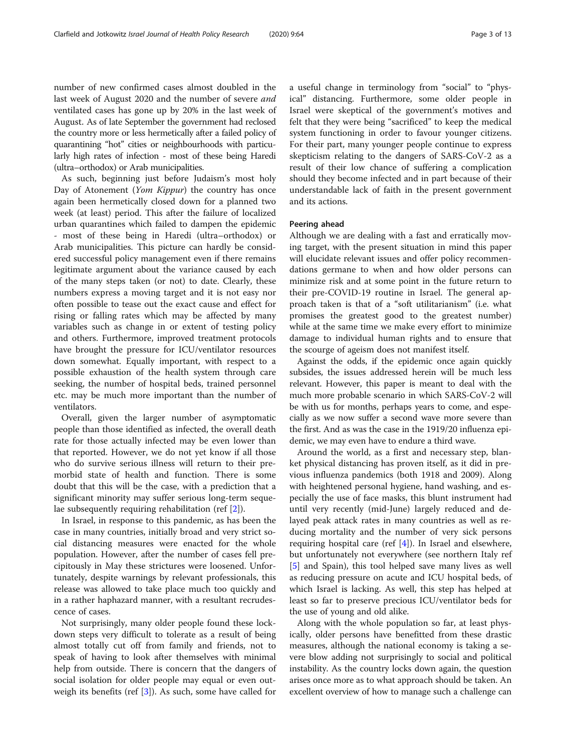number of new confirmed cases almost doubled in the last week of August 2020 and the number of severe and ventilated cases has gone up by 20% in the last week of August. As of late September the government had reclosed the country more or less hermetically after a failed policy of quarantining "hot" cities or neighbourhoods with particularly high rates of infection - most of these being Haredi (ultra–orthodox) or Arab municipalities.

As such, beginning just before Judaism's most holy Day of Atonement (Yom Kippur) the country has once again been hermetically closed down for a planned two week (at least) period. This after the failure of localized urban quarantines which failed to dampen the epidemic - most of these being in Haredi (ultra–orthodox) or Arab municipalities. This picture can hardly be considered successful policy management even if there remains legitimate argument about the variance caused by each of the many steps taken (or not) to date. Clearly, these numbers express a moving target and it is not easy nor often possible to tease out the exact cause and effect for rising or falling rates which may be affected by many variables such as change in or extent of testing policy and others. Furthermore, improved treatment protocols have brought the pressure for ICU/ventilator resources down somewhat. Equally important, with respect to a possible exhaustion of the health system through care seeking, the number of hospital beds, trained personnel etc. may be much more important than the number of ventilators.

Overall, given the larger number of asymptomatic people than those identified as infected, the overall death rate for those actually infected may be even lower than that reported. However, we do not yet know if all those who do survive serious illness will return to their premorbid state of health and function. There is some doubt that this will be the case, with a prediction that a significant minority may suffer serious long-term sequelae subsequently requiring rehabilitation (ref [[2\]](#page-11-0)).

In Israel, in response to this pandemic, as has been the case in many countries, initially broad and very strict social distancing measures were enacted for the whole population. However, after the number of cases fell precipitously in May these strictures were loosened. Unfortunately, despite warnings by relevant professionals, this release was allowed to take place much too quickly and in a rather haphazard manner, with a resultant recrudescence of cases.

Not surprisingly, many older people found these lockdown steps very difficult to tolerate as a result of being almost totally cut off from family and friends, not to speak of having to look after themselves with minimal help from outside. There is concern that the dangers of social isolation for older people may equal or even outweigh its benefits (ref  $[3]$  $[3]$ ). As such, some have called for a useful change in terminology from "social" to "physical" distancing. Furthermore, some older people in Israel were skeptical of the government's motives and felt that they were being "sacrificed" to keep the medical system functioning in order to favour younger citizens. For their part, many younger people continue to express skepticism relating to the dangers of SARS-CoV-2 as a result of their low chance of suffering a complication should they become infected and in part because of their understandable lack of faith in the present government and its actions.

#### Peering ahead

Although we are dealing with a fast and erratically moving target, with the present situation in mind this paper will elucidate relevant issues and offer policy recommendations germane to when and how older persons can minimize risk and at some point in the future return to their pre-COVID-19 routine in Israel. The general approach taken is that of a "soft utilitarianism" (i.e. what promises the greatest good to the greatest number) while at the same time we make every effort to minimize damage to individual human rights and to ensure that the scourge of ageism does not manifest itself.

Against the odds, if the epidemic once again quickly subsides, the issues addressed herein will be much less relevant. However, this paper is meant to deal with the much more probable scenario in which SARS-CoV-2 will be with us for months, perhaps years to come, and especially as we now suffer a second wave more severe than the first. And as was the case in the 1919/20 influenza epidemic, we may even have to endure a third wave.

Around the world, as a first and necessary step, blanket physical distancing has proven itself, as it did in previous influenza pandemics (both 1918 and 2009). Along with heightened personal hygiene, hand washing, and especially the use of face masks, this blunt instrument had until very recently (mid-June) largely reduced and delayed peak attack rates in many countries as well as reducing mortality and the number of very sick persons requiring hospital care (ref  $[4]$  $[4]$ ). In Israel and elsewhere, but unfortunately not everywhere (see northern Italy ref [[5\]](#page-11-0) and Spain), this tool helped save many lives as well as reducing pressure on acute and ICU hospital beds, of which Israel is lacking. As well, this step has helped at least so far to preserve precious ICU/ventilator beds for the use of young and old alike.

Along with the whole population so far, at least physically, older persons have benefitted from these drastic measures, although the national economy is taking a severe blow adding not surprisingly to social and political instability. As the country locks down again, the question arises once more as to what approach should be taken. An excellent overview of how to manage such a challenge can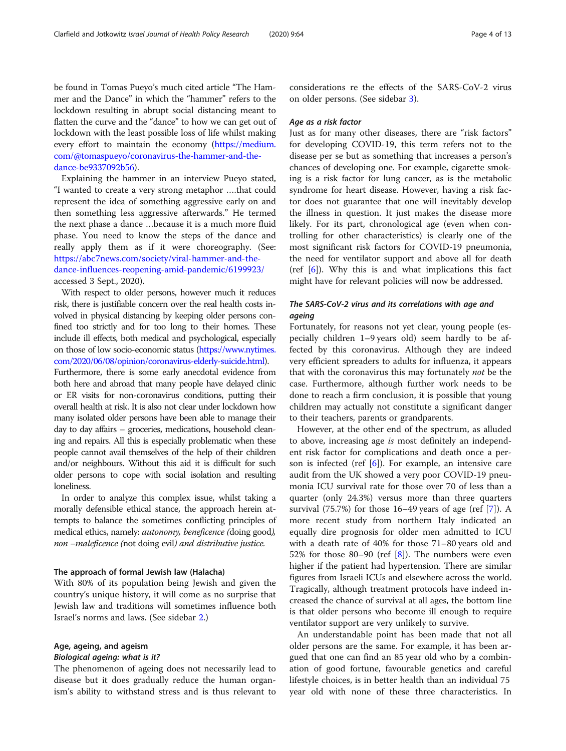be found in Tomas Pueyo's much cited article "The Hammer and the Dance" in which the "hammer" refers to the lockdown resulting in abrupt social distancing meant to flatten the curve and the "dance" to how we can get out of lockdown with the least possible loss of life whilst making every effort to maintain the economy ([https://medium.](https://medium.com/@tomaspueyo/coronavirus-the-hammer-and-the-dance-be9337092b56) [com/@tomaspueyo/coronavirus-the-hammer-and-the](https://medium.com/@tomaspueyo/coronavirus-the-hammer-and-the-dance-be9337092b56)[dance-be9337092b56](https://medium.com/@tomaspueyo/coronavirus-the-hammer-and-the-dance-be9337092b56)).

Explaining the hammer in an interview Pueyo stated, "I wanted to create a very strong metaphor ….that could represent the idea of something aggressive early on and then something less aggressive afterwards." He termed the next phase a dance …because it is a much more fluid phase. You need to know the steps of the dance and really apply them as if it were choreography. (See: [https://abc7news.com/society/viral-hammer-and-the](https://abc7news.com/society/viral-hammer-and-the-dance-influences-reopening-amid-pandemic/6199923/)[dance-influences-reopening-amid-pandemic/6199923/](https://abc7news.com/society/viral-hammer-and-the-dance-influences-reopening-amid-pandemic/6199923/) accessed 3 Sept., 2020).

With respect to older persons, however much it reduces risk, there is justifiable concern over the real health costs involved in physical distancing by keeping older persons confined too strictly and for too long to their homes. These include ill effects, both medical and psychological, especially on those of low socio-economic status ([https://www.nytimes.](https://www.nytimes.com/2020/06/08/opinion/coronavirus-elderly-suicide.html) [com/2020/06/08/opinion/coronavirus-elderly-suicide.html](https://www.nytimes.com/2020/06/08/opinion/coronavirus-elderly-suicide.html)).

Furthermore, there is some early anecdotal evidence from both here and abroad that many people have delayed clinic or ER visits for non-coronavirus conditions, putting their overall health at risk. It is also not clear under lockdown how many isolated older persons have been able to manage their day to day affairs – groceries, medications, household cleaning and repairs. All this is especially problematic when these people cannot avail themselves of the help of their children and/or neighbours. Without this aid it is difficult for such older persons to cope with social isolation and resulting loneliness.

In order to analyze this complex issue, whilst taking a morally defensible ethical stance, the approach herein attempts to balance the sometimes conflicting principles of medical ethics, namely: autonomy, beneficence (doing good), non –maleficence (not doing evil) and distributive justice.

#### The approach of formal Jewish law (Halacha)

With 80% of its population being Jewish and given the country's unique history, it will come as no surprise that Jewish law and traditions will sometimes influence both Israel's norms and laws. (See sidebar [2](#page-11-0).)

# Age, ageing, and ageism

#### Biological ageing: what is it?

The phenomenon of ageing does not necessarily lead to disease but it does gradually reduce the human organism's ability to withstand stress and is thus relevant to

considerations re the effects of the SARS-CoV-2 virus on older persons. (See sidebar [3\)](#page-11-0).

#### Age as a risk factor

Just as for many other diseases, there are "risk factors" for developing COVID-19, this term refers not to the disease per se but as something that increases a person's chances of developing one. For example, cigarette smoking is a risk factor for lung cancer, as is the metabolic syndrome for heart disease. However, having a risk factor does not guarantee that one will inevitably develop the illness in question. It just makes the disease more likely. For its part, chronological age (even when controlling for other characteristics) is clearly one of the most significant risk factors for COVID-19 pneumonia, the need for ventilator support and above all for death (ref  $[6]$  $[6]$ ). Why this is and what implications this fact might have for relevant policies will now be addressed.

# The SARS-CoV-2 virus and its correlations with age and ageing

Fortunately, for reasons not yet clear, young people (especially children 1–9 years old) seem hardly to be affected by this coronavirus. Although they are indeed very efficient spreaders to adults for influenza, it appears that with the coronavirus this may fortunately not be the case. Furthermore, although further work needs to be done to reach a firm conclusion, it is possible that young children may actually not constitute a significant danger to their teachers, parents or grandparents.

However, at the other end of the spectrum, as alluded to above, increasing age is most definitely an independent risk factor for complications and death once a person is infected (ref  $[6]$  $[6]$ ). For example, an intensive care audit from the UK showed a very poor COVID-19 pneumonia ICU survival rate for those over 70 of less than a quarter (only 24.3%) versus more than three quarters survival (75.7%) for those 16–49 years of age (ref [[7\]](#page-11-0)). A more recent study from northern Italy indicated an equally dire prognosis for older men admitted to ICU with a death rate of 40% for those 71–80 years old and 52% for those 80–90 (ref  $[8]$  $[8]$ ). The numbers were even higher if the patient had hypertension. There are similar figures from Israeli ICUs and elsewhere across the world. Tragically, although treatment protocols have indeed increased the chance of survival at all ages, the bottom line is that older persons who become ill enough to require ventilator support are very unlikely to survive.

An understandable point has been made that not all older persons are the same. For example, it has been argued that one can find an 85 year old who by a combination of good fortune, favourable genetics and careful lifestyle choices, is in better health than an individual 75 year old with none of these three characteristics. In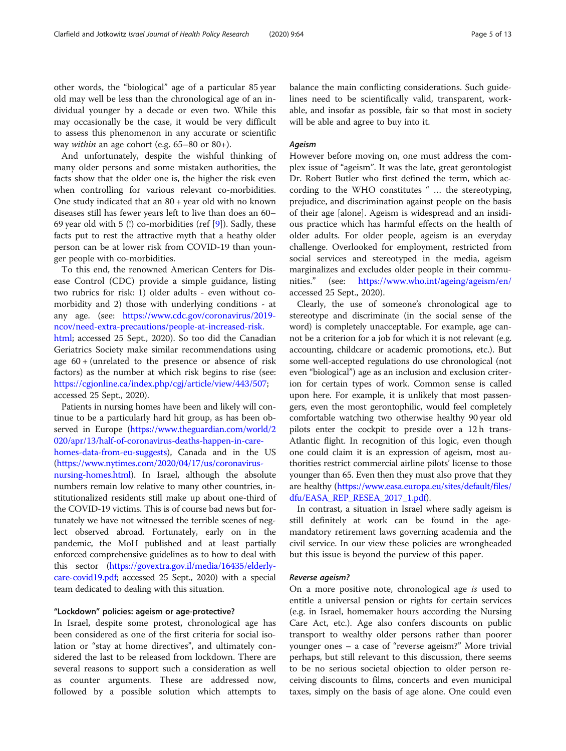other words, the "biological" age of a particular 85 year old may well be less than the chronological age of an individual younger by a decade or even two. While this may occasionally be the case, it would be very difficult to assess this phenomenon in any accurate or scientific way within an age cohort (e.g. 65–80 or 80+).

And unfortunately, despite the wishful thinking of many older persons and some mistaken authorities, the facts show that the older one is, the higher the risk even when controlling for various relevant co-morbidities. One study indicated that an 80 + year old with no known diseases still has fewer years left to live than does an 60– 6[9](#page-11-0) year old with 5 (!) co-morbidities (ref  $[9]$ ). Sadly, these facts put to rest the attractive myth that a heathy older person can be at lower risk from COVID-19 than younger people with co-morbidities.

To this end, the renowned American Centers for Disease Control (CDC) provide a simple guidance, listing two rubrics for risk: 1) older adults - even without comorbidity and 2) those with underlying conditions - at any age. (see: [https://www.cdc.gov/coronavirus/2019](https://www.cdc.gov/coronavirus/2019-ncov/need-extra-precautions/people-at-increased-risk.html) [ncov/need-extra-precautions/people-at-increased-risk.](https://www.cdc.gov/coronavirus/2019-ncov/need-extra-precautions/people-at-increased-risk.html) [html;](https://www.cdc.gov/coronavirus/2019-ncov/need-extra-precautions/people-at-increased-risk.html) accessed 25 Sept., 2020). So too did the Canadian Geriatrics Society make similar recommendations using age  $60 +$  (unrelated to the presence or absence of risk factors) as the number at which risk begins to rise (see: [https://cgjonline.ca/index.php/cgj/article/view/443/507;](https://cgjonline.ca/index.php/cgj/article/view/443/507) accessed 25 Sept., 2020).

Patients in nursing homes have been and likely will continue to be a particularly hard hit group, as has been observed in Europe [\(https://www.theguardian.com/world/2](https://www.theguardian.com/world/2020/apr/13/half-of-coronavirus-deaths-happen-in-care-homes-data-from-eu-suggests) [020/apr/13/half-of-coronavirus-deaths-happen-in-care](https://www.theguardian.com/world/2020/apr/13/half-of-coronavirus-deaths-happen-in-care-homes-data-from-eu-suggests)[homes-data-from-eu-suggests\)](https://www.theguardian.com/world/2020/apr/13/half-of-coronavirus-deaths-happen-in-care-homes-data-from-eu-suggests), Canada and in the US ([https://www.nytimes.com/2020/04/17/us/coronavirus](https://www.nytimes.com/2020/04/17/us/coronavirus-nursing-homes.html)[nursing-homes.html\)](https://www.nytimes.com/2020/04/17/us/coronavirus-nursing-homes.html). In Israel, although the absolute numbers remain low relative to many other countries, institutionalized residents still make up about one-third of the COVID-19 victims. This is of course bad news but fortunately we have not witnessed the terrible scenes of neg-

lect observed abroad. Fortunately, early on in the pandemic, the MoH published and at least partially enforced comprehensive guidelines as to how to deal with this sector [\(https://govextra.gov.il/media/16435/elderly](https://govextra.gov.il/media/16435/elderly-care-covid19.pdf)[care-covid19.pdf;](https://govextra.gov.il/media/16435/elderly-care-covid19.pdf) accessed 25 Sept., 2020) with a special team dedicated to dealing with this situation.

# "Lockdown" policies: ageism or age-protective?

In Israel, despite some protest, chronological age has been considered as one of the first criteria for social isolation or "stay at home directives", and ultimately considered the last to be released from lockdown. There are several reasons to support such a consideration as well as counter arguments. These are addressed now, followed by a possible solution which attempts to balance the main conflicting considerations. Such guidelines need to be scientifically valid, transparent, workable, and insofar as possible, fair so that most in society will be able and agree to buy into it.

# Ageism

However before moving on, one must address the complex issue of "ageism". It was the late, great gerontologist Dr. Robert Butler who first defined the term, which according to the WHO constitutes " … the stereotyping, prejudice, and discrimination against people on the basis of their age [alone]. Ageism is widespread and an insidious practice which has harmful effects on the health of older adults. For older people, ageism is an everyday challenge. Overlooked for employment, restricted from social services and stereotyped in the media, ageism marginalizes and excludes older people in their communities." (see: <https://www.who.int/ageing/ageism/en/> accessed 25 Sept., 2020).

Clearly, the use of someone's chronological age to stereotype and discriminate (in the social sense of the word) is completely unacceptable. For example, age cannot be a criterion for a job for which it is not relevant (e.g. accounting, childcare or academic promotions, etc.). But some well-accepted regulations do use chronological (not even "biological") age as an inclusion and exclusion criterion for certain types of work. Common sense is called upon here. For example, it is unlikely that most passengers, even the most gerontophilic, would feel completely comfortable watching two otherwise healthy 90 year old pilots enter the cockpit to preside over a 12 h trans-Atlantic flight. In recognition of this logic, even though one could claim it is an expression of ageism, most authorities restrict commercial airline pilots' license to those younger than 65. Even then they must also prove that they are healthy ([https://www.easa.europa.eu/sites/default/files/](https://www.easa.europa.eu/sites/default/files/dfu/EASA_REP_RESEA_2017_1.pdf) [dfu/EASA\\_REP\\_RESEA\\_2017\\_1.pdf](https://www.easa.europa.eu/sites/default/files/dfu/EASA_REP_RESEA_2017_1.pdf)).

In contrast, a situation in Israel where sadly ageism is still definitely at work can be found in the agemandatory retirement laws governing academia and the civil service. In our view these policies are wrongheaded but this issue is beyond the purview of this paper.

#### Reverse ageism?

On a more positive note, chronological age is used to entitle a universal pension or rights for certain services (e.g. in Israel, homemaker hours according the Nursing Care Act, etc.). Age also confers discounts on public transport to wealthy older persons rather than poorer younger ones – a case of "reverse ageism?" More trivial perhaps, but still relevant to this discussion, there seems to be no serious societal objection to older person receiving discounts to films, concerts and even municipal taxes, simply on the basis of age alone. One could even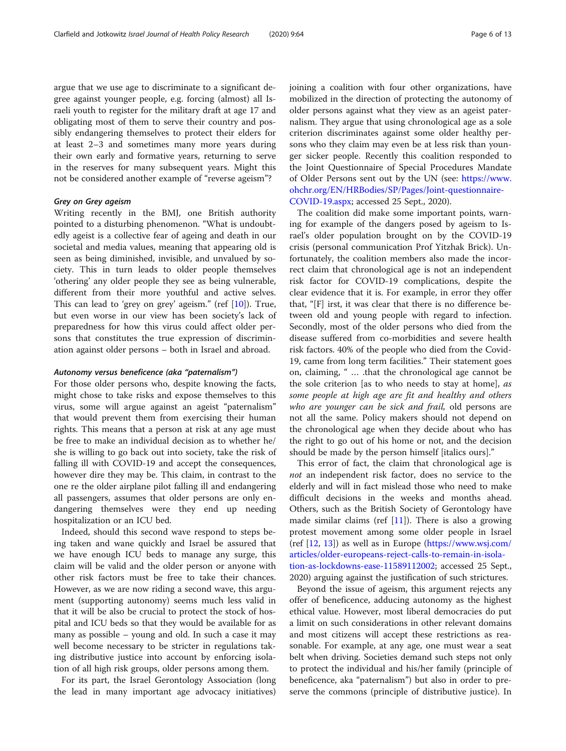argue that we use age to discriminate to a significant degree against younger people, e.g. forcing (almost) all Israeli youth to register for the military draft at age 17 and obligating most of them to serve their country and possibly endangering themselves to protect their elders for at least 2–3 and sometimes many more years during their own early and formative years, returning to serve in the reserves for many subsequent years. Might this not be considered another example of "reverse ageism"?

# Grey on Grey ageism

Writing recently in the BMJ, one British authority pointed to a disturbing phenomenon. "What is undoubtedly ageist is a collective fear of ageing and death in our societal and media values, meaning that appearing old is seen as being diminished, invisible, and unvalued by society. This in turn leads to older people themselves 'othering' any older people they see as being vulnerable, different from their more youthful and active selves. This can lead to 'grey on grey' ageism." (ref [[10](#page-11-0)]). True, but even worse in our view has been society's lack of preparedness for how this virus could affect older persons that constitutes the true expression of discrimination against older persons – both in Israel and abroad.

#### Autonomy versus beneficence (aka "paternalism")

For those older persons who, despite knowing the facts, might chose to take risks and expose themselves to this virus, some will argue against an ageist "paternalism" that would prevent them from exercising their human rights. This means that a person at risk at any age must be free to make an individual decision as to whether he/ she is willing to go back out into society, take the risk of falling ill with COVID-19 and accept the consequences, however dire they may be. This claim, in contrast to the one re the older airplane pilot falling ill and endangering all passengers, assumes that older persons are only endangering themselves were they end up needing hospitalization or an ICU bed.

Indeed, should this second wave respond to steps being taken and wane quickly and Israel be assured that we have enough ICU beds to manage any surge, this claim will be valid and the older person or anyone with other risk factors must be free to take their chances. However, as we are now riding a second wave, this argument (supporting autonomy) seems much less valid in that it will be also be crucial to protect the stock of hospital and ICU beds so that they would be available for as many as possible – young and old. In such a case it may well become necessary to be stricter in regulations taking distributive justice into account by enforcing isolation of all high risk groups, older persons among them.

For its part, the Israel Gerontology Association (long the lead in many important age advocacy initiatives) joining a coalition with four other organizations, have mobilized in the direction of protecting the autonomy of older persons against what they view as an ageist paternalism. They argue that using chronological age as a sole criterion discriminates against some older healthy persons who they claim may even be at less risk than younger sicker people. Recently this coalition responded to the Joint Questionnaire of Special Procedures Mandate of Older Persons sent out by the UN (see: [https://www.](https://www.ohchr.org/EN/HRBodies/SP/Pages/Joint-questionnaire-COVID-19.aspx) [ohchr.org/EN/HRBodies/SP/Pages/Joint-questionnaire-](https://www.ohchr.org/EN/HRBodies/SP/Pages/Joint-questionnaire-COVID-19.aspx)[COVID-19.aspx;](https://www.ohchr.org/EN/HRBodies/SP/Pages/Joint-questionnaire-COVID-19.aspx) accessed 25 Sept., 2020).

The coalition did make some important points, warning for example of the dangers posed by ageism to Israel's older population brought on by the COVID-19 crisis (personal communication Prof Yitzhak Brick). Unfortunately, the coalition members also made the incorrect claim that chronological age is not an independent risk factor for COVID-19 complications, despite the clear evidence that it is. For example, in error they offer that, "[F] irst, it was clear that there is no difference between old and young people with regard to infection. Secondly, most of the older persons who died from the disease suffered from co-morbidities and severe health risk factors. 40% of the people who died from the Covid-19, came from long term facilities." Their statement goes on, claiming, " … .that the chronological age cannot be the sole criterion [as to who needs to stay at home], as some people at high age are fit and healthy and others who are younger can be sick and frail, old persons are not all the same. Policy makers should not depend on the chronological age when they decide about who has the right to go out of his home or not, and the decision should be made by the person himself [italics ours]."

This error of fact, the claim that chronological age is not an independent risk factor, does no service to the elderly and will in fact mislead those who need to make difficult decisions in the weeks and months ahead. Others, such as the British Society of Gerontology have made similar claims (ref  $[11]$  $[11]$ ). There is also a growing protest movement among some older people in Israel (ref  $[12, 13]$  $[12, 13]$  $[12, 13]$  $[12, 13]$ ) as well as in Europe [\(https://www.wsj.com/](https://www.wsj.com/articles/older-europeans-reject-calls-to-remain-in-isolation-as-lockdowns-ease-11589112002) [articles/older-europeans-reject-calls-to-remain-in-isola](https://www.wsj.com/articles/older-europeans-reject-calls-to-remain-in-isolation-as-lockdowns-ease-11589112002)[tion-as-lockdowns-ease-11589112002;](https://www.wsj.com/articles/older-europeans-reject-calls-to-remain-in-isolation-as-lockdowns-ease-11589112002) accessed 25 Sept., 2020) arguing against the justification of such strictures.

Beyond the issue of ageism, this argument rejects any offer of beneficence, adducing autonomy as the highest ethical value. However, most liberal democracies do put a limit on such considerations in other relevant domains and most citizens will accept these restrictions as reasonable. For example, at any age, one must wear a seat belt when driving. Societies demand such steps not only to protect the individual and his/her family (principle of beneficence, aka "paternalism") but also in order to preserve the commons (principle of distributive justice). In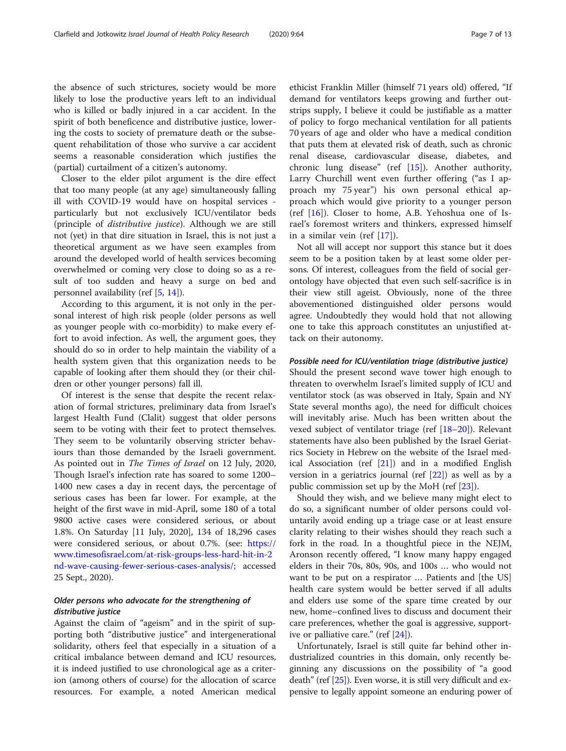the absence of such strictures, society would be more likely to lose the productive years left to an individual who is killed or badly injured in a car accident. In the spirit of both beneficence and distributive justice, lowering the costs to society of premature death or the subsequent rehabilitation of those who survive a car accident seems a reasonable consideration which justifies the (partial) curtailment of a citizen's autonomy.

Closer to the elder pilot argument is the dire effect that too many people (at any age) simultaneously falling ill with COVID-19 would have on hospital services particularly but not exclusively ICU/ventilator beds (principle of distributive justice). Although we are still not (yet) in that dire situation in Israel, this is not just a theoretical argument as we have seen examples from around the developed world of health services becoming overwhelmed or coming very close to doing so as a result of too sudden and heavy a surge on bed and personnel availability (ref [[5,](#page-11-0) [14\]](#page-11-0)).

According to this argument, it is not only in the personal interest of high risk people (older persons as well as younger people with co-morbidity) to make every effort to avoid infection. As well, the argument goes, they should do so in order to help maintain the viability of a health system given that this organization needs to be capable of looking after them should they (or their children or other younger persons) fall ill.

Of interest is the sense that despite the recent relaxation of formal strictures, preliminary data from Israel's largest Health Fund (Clalit) suggest that older persons seem to be voting with their feet to protect themselves. They seem to be voluntarily observing stricter behaviours than those demanded by the Israeli government. As pointed out in The Times of Israel on 12 July, 2020, Though Israel's infection rate has soared to some 1200– 1400 new cases a day in recent days, the percentage of serious cases has been far lower. For example, at the height of the first wave in mid-April, some 180 of a total 9800 active cases were considered serious, or about 1.8%. On Saturday [11 July, 2020], 134 of 18,296 cases were considered serious, or about 0.7%. (see: [https://](https://www.timesofisrael.com/at-risk-groups-less-hard-hit-in-2nd-wave-causing-fewer-serious-cases-analysis/) [www.timesofisrael.com/at-risk-groups-less-hard-hit-in-2](https://www.timesofisrael.com/at-risk-groups-less-hard-hit-in-2nd-wave-causing-fewer-serious-cases-analysis/) [nd-wave-causing-fewer-serious-cases-analysis/;](https://www.timesofisrael.com/at-risk-groups-less-hard-hit-in-2nd-wave-causing-fewer-serious-cases-analysis/) accessed 25 Sept., 2020).

# Older persons who advocate for the strengthening of distributive justice

Against the claim of "ageism" and in the spirit of supporting both "distributive justice" and intergenerational solidarity, others feel that especially in a situation of a critical imbalance between demand and ICU resources, it is indeed justified to use chronological age as a criterion (among others of course) for the allocation of scarce resources. For example, a noted American medical ethicist Franklin Miller (himself 71 years old) offered, "If demand for ventilators keeps growing and further outstrips supply, I believe it could be justifiable as a matter of policy to forgo mechanical ventilation for all patients 70 years of age and older who have a medical condition that puts them at elevated risk of death, such as chronic renal disease, cardiovascular disease, diabetes, and chronic lung disease" (ref [[15\]](#page-11-0)). Another authority, Larry Churchill went even further offering ("as I approach my 75 year") his own personal ethical approach which would give priority to a younger person (ref [\[16](#page-11-0)]). Closer to home, A.B. Yehoshua one of Israel's foremost writers and thinkers, expressed himself in a similar vein (ref [\[17](#page-11-0)]).

Not all will accept nor support this stance but it does seem to be a position taken by at least some older persons. Of interest, colleagues from the field of social gerontology have objected that even such self-sacrifice is in their view still ageist. Obviously, none of the three abovementioned distinguished older persons would agree. Undoubtedly they would hold that not allowing one to take this approach constitutes an unjustified attack on their autonomy.

# Possible need for ICU/ventilation triage (distributive justice)

Should the present second wave tower high enough to threaten to overwhelm Israel's limited supply of ICU and ventilator stock (as was observed in Italy, Spain and NY State several months ago), the need for difficult choices will inevitably arise. Much has been written about the vexed subject of ventilator triage (ref [[18](#page-11-0)–[20\]](#page-11-0)). Relevant statements have also been published by the Israel Geriatrics Society in Hebrew on the website of the Israel medical Association (ref  $[21]$  $[21]$ ) and in a modified English version in a geriatrics journal (ref [[22\]](#page-11-0)) as well as by a public commission set up by the MoH (ref [[23\]](#page-11-0)).

Should they wish, and we believe many might elect to do so, a significant number of older persons could voluntarily avoid ending up a triage case or at least ensure clarity relating to their wishes should they reach such a fork in the road. In a thoughtful piece in the NEJM, Aronson recently offered, "I know many happy engaged elders in their 70s, 80s, 90s, and 100s … who would not want to be put on a respirator … Patients and [the US] health care system would be better served if all adults and elders use some of the spare time created by our new, home–confined lives to discuss and document their care preferences, whether the goal is aggressive, supportive or palliative care." (ref [[24\]](#page-11-0)).

Unfortunately, Israel is still quite far behind other industrialized countries in this domain, only recently beginning any discussions on the possibility of "a good death" (ref [\[25\]](#page-11-0)). Even worse, it is still very difficult and expensive to legally appoint someone an enduring power of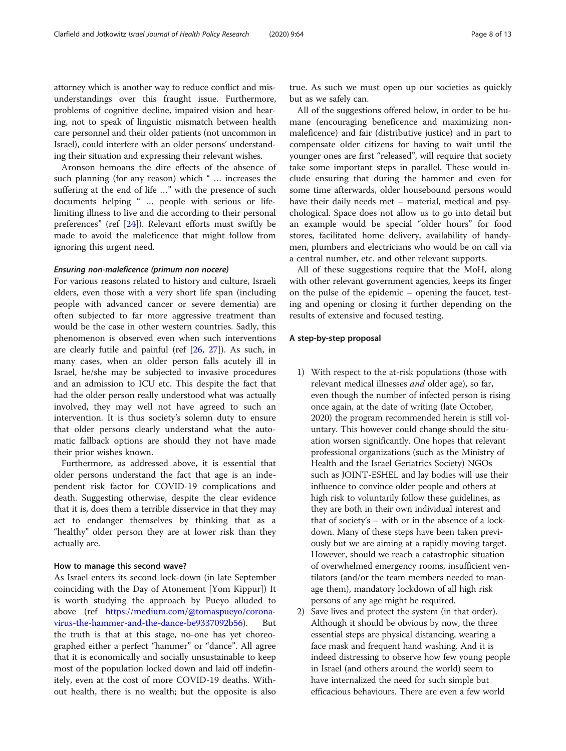attorney which is another way to reduce conflict and misunderstandings over this fraught issue. Furthermore, problems of cognitive decline, impaired vision and hearing, not to speak of linguistic mismatch between health care personnel and their older patients (not uncommon in Israel), could interfere with an older persons' understanding their situation and expressing their relevant wishes.

Aronson bemoans the dire effects of the absence of such planning (for any reason) which " … increases the suffering at the end of life …" with the presence of such documents helping " … people with serious or lifelimiting illness to live and die according to their personal preferences" (ref [\[24\]](#page-11-0)). Relevant efforts must swiftly be made to avoid the maleficence that might follow from ignoring this urgent need.

# Ensuring non-maleficence (primum non nocere)

For various reasons related to history and culture, Israeli elders, even those with a very short life span (including people with advanced cancer or severe dementia) are often subjected to far more aggressive treatment than would be the case in other western countries. Sadly, this phenomenon is observed even when such interventions are clearly futile and painful (ref [\[26,](#page-11-0) [27](#page-12-0)]). As such, in many cases, when an older person falls acutely ill in Israel, he/she may be subjected to invasive procedures and an admission to ICU etc. This despite the fact that had the older person really understood what was actually involved, they may well not have agreed to such an intervention. It is thus society's solemn duty to ensure that older persons clearly understand what the automatic fallback options are should they not have made their prior wishes known.

Furthermore, as addressed above, it is essential that older persons understand the fact that age is an independent risk factor for COVID-19 complications and death. Suggesting otherwise, despite the clear evidence that it is, does them a terrible disservice in that they may act to endanger themselves by thinking that as a "healthy" older person they are at lower risk than they actually are.

#### How to manage this second wave?

As Israel enters its second lock-down (in late September coinciding with the Day of Atonement [Yom Kippur]) It is worth studying the approach by Pueyo alluded to above (ref [https://medium.com/@tomaspueyo/corona](https://medium.com/@tomaspueyo/coronavirus-the-hammer-and-the-dance-be9337092b56)[virus-the-hammer-and-the-dance-be9337092b56\)](https://medium.com/@tomaspueyo/coronavirus-the-hammer-and-the-dance-be9337092b56). But the truth is that at this stage, no-one has yet choreographed either a perfect "hammer" or "dance". All agree that it is economically and socially unsustainable to keep most of the population locked down and laid off indefinitely, even at the cost of more COVID-19 deaths. Without health, there is no wealth; but the opposite is also

true. As such we must open up our societies as quickly but as we safely can.

All of the suggestions offered below, in order to be humane (encouraging beneficence and maximizing nonmaleficence) and fair (distributive justice) and in part to compensate older citizens for having to wait until the younger ones are first "released", will require that society take some important steps in parallel. These would include ensuring that during the hammer and even for some time afterwards, older housebound persons would have their daily needs met – material, medical and psychological. Space does not allow us to go into detail but an example would be special "older hours" for food stores, facilitated home delivery, availability of handymen, plumbers and electricians who would be on call via a central number, etc. and other relevant supports.

All of these suggestions require that the MoH, along with other relevant government agencies, keeps its finger on the pulse of the epidemic – opening the faucet, testing and opening or closing it further depending on the results of extensive and focused testing.

## A step-by-step proposal

- 1) With respect to the at-risk populations (those with relevant medical illnesses *and* older age), so far, even though the number of infected person is rising once again, at the date of writing (late October, 2020) the program recommended herein is still voluntary. This however could change should the situation worsen significantly. One hopes that relevant professional organizations (such as the Ministry of Health and the Israel Geriatrics Society) NGOs such as JOINT-ESHEL and lay bodies will use their influence to convince older people and others at high risk to voluntarily follow these guidelines, as they are both in their own individual interest and that of society's – with or in the absence of a lockdown. Many of these steps have been taken previously but we are aiming at a rapidly moving target. However, should we reach a catastrophic situation of overwhelmed emergency rooms, insufficient ventilators (and/or the team members needed to manage them), mandatory lockdown of all high risk persons of any age might be required.
- 2) Save lives and protect the system (in that order). Although it should be obvious by now, the three essential steps are physical distancing, wearing a face mask and frequent hand washing. And it is indeed distressing to observe how few young people in Israel (and others around the world) seem to have internalized the need for such simple but efficacious behaviours. There are even a few world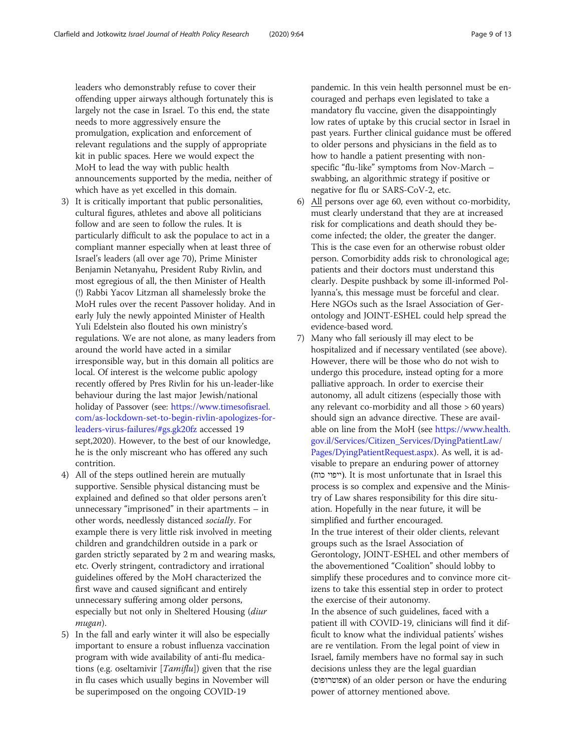leaders who demonstrably refuse to cover their offending upper airways although fortunately this is largely not the case in Israel. To this end, the state needs to more aggressively ensure the promulgation, explication and enforcement of relevant regulations and the supply of appropriate kit in public spaces. Here we would expect the MoH to lead the way with public health announcements supported by the media, neither of which have as yet excelled in this domain.

- 3) It is critically important that public personalities, cultural figures, athletes and above all politicians follow and are seen to follow the rules. It is particularly difficult to ask the populace to act in a compliant manner especially when at least three of Israel's leaders (all over age 70), Prime Minister Benjamin Netanyahu, President Ruby Rivlin, and most egregious of all, the then Minister of Health (!) Rabbi Yacov Litzman all shamelessly broke the MoH rules over the recent Passover holiday. And in early July the newly appointed Minister of Health Yuli Edelstein also flouted his own ministry's regulations. We are not alone, as many leaders from around the world have acted in a similar irresponsible way, but in this domain all politics are local. Of interest is the welcome public apology recently offered by Pres Rivlin for his un-leader-like behaviour during the last major Jewish/national holiday of Passover (see: [https://www.timesofisrael.](https://www.timesofisrael.com/as-lockdown-set-to-begin-rivlin-apologizes-for-leaders-virus-failures/#gs.gk20fz) [com/as-lockdown-set-to-begin-rivlin-apologizes-for](https://www.timesofisrael.com/as-lockdown-set-to-begin-rivlin-apologizes-for-leaders-virus-failures/#gs.gk20fz)[leaders-virus-failures/#gs.gk20fz](https://www.timesofisrael.com/as-lockdown-set-to-begin-rivlin-apologizes-for-leaders-virus-failures/#gs.gk20fz) accessed 19 sept,2020). However, to the best of our knowledge, he is the only miscreant who has offered any such contrition.
- 4) All of the steps outlined herein are mutually supportive. Sensible physical distancing must be explained and defined so that older persons aren't unnecessary "imprisoned" in their apartments – in other words, needlessly distanced socially. For example there is very little risk involved in meeting children and grandchildren outside in a park or garden strictly separated by 2 m and wearing masks, etc. Overly stringent, contradictory and irrational guidelines offered by the MoH characterized the first wave and caused significant and entirely unnecessary suffering among older persons, especially but not only in Sheltered Housing (diur mugan).
- 5) In the fall and early winter it will also be especially important to ensure a robust influenza vaccination program with wide availability of anti-flu medications (e.g. oseltamivir  $[Tamiflu]$ ) given that the rise in flu cases which usually begins in November will be superimposed on the ongoing COVID-19

pandemic. In this vein health personnel must be encouraged and perhaps even legislated to take a mandatory flu vaccine, given the disappointingly low rates of uptake by this crucial sector in Israel in past years. Further clinical guidance must be offered to older persons and physicians in the field as to how to handle a patient presenting with nonspecific "flu-like" symptoms from Nov-March – swabbing, an algorithmic strategy if positive or negative for flu or SARS-CoV-2, etc.

- 6) All persons over age 60, even without co-morbidity, must clearly understand that they are at increased risk for complications and death should they become infected; the older, the greater the danger. This is the case even for an otherwise robust older person. Comorbidity adds risk to chronological age; patients and their doctors must understand this clearly. Despite pushback by some ill-informed Pollyanna's, this message must be forceful and clear. Here NGOs such as the Israel Association of Gerontology and JOINT-ESHEL could help spread the evidence-based word.
- 7) Many who fall seriously ill may elect to be hospitalized and if necessary ventilated (see above). However, there will be those who do not wish to undergo this procedure, instead opting for a more palliative approach. In order to exercise their autonomy, all adult citizens (especially those with any relevant co-morbidity and all those > 60 years) should sign an advance directive. These are available on line from the MoH (see [https://www.health.](https://www.health.gov.il/Services/Citizen_Services/DyingPatientLaw/Pages/DyingPatientRequest.aspx) [gov.il/Services/Citizen\\_Services/DyingPatientLaw/](https://www.health.gov.il/Services/Citizen_Services/DyingPatientLaw/Pages/DyingPatientRequest.aspx) [Pages/DyingPatientRequest.aspx](https://www.health.gov.il/Services/Citizen_Services/DyingPatientLaw/Pages/DyingPatientRequest.aspx)). As well, it is advisable to prepare an enduring power of attorney (ייפוי כוח). It is most unfortunate that in Israel this process is so complex and expensive and the Ministry of Law shares responsibility for this dire situation. Hopefully in the near future, it will be simplified and further encouraged. In the true interest of their older clients, relevant groups such as the Israel Association of Gerontology, JOINT-ESHEL and other members of the abovementioned "Coalition" should lobby to simplify these procedures and to convince more citizens to take this essential step in order to protect the exercise of their autonomy. In the absence of such guidelines, faced with a patient ill with COVID-19, clinicians will find it difficult to know what the individual patients' wishes are re ventilation. From the legal point of view in Israel, family members have no formal say in such decisions unless they are the legal guardian (אפוטרופוס (of an older person or have the enduring power of attorney mentioned above.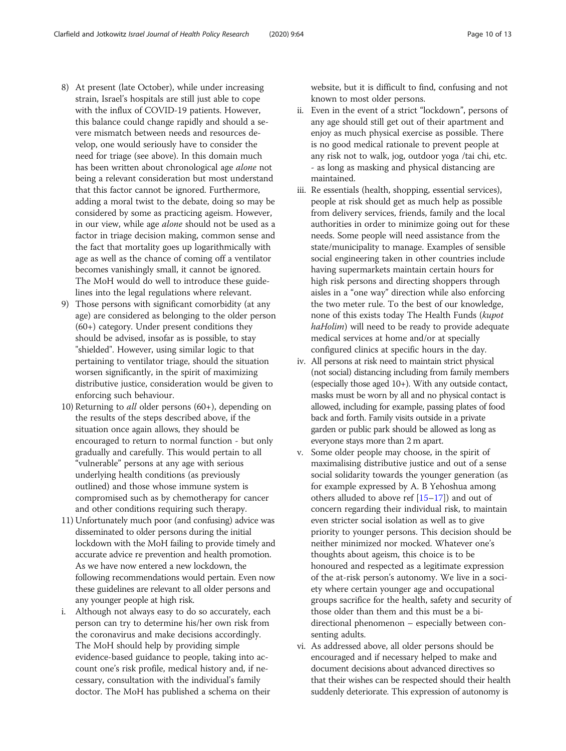- 8) At present (late October), while under increasing strain, Israel's hospitals are still just able to cope with the influx of COVID-19 patients. However, this balance could change rapidly and should a severe mismatch between needs and resources develop, one would seriously have to consider the need for triage (see above). In this domain much has been written about chronological age alone not being a relevant consideration but most understand that this factor cannot be ignored. Furthermore, adding a moral twist to the debate, doing so may be considered by some as practicing ageism. However, in our view, while age alone should not be used as a factor in triage decision making, common sense and the fact that mortality goes up logarithmically with age as well as the chance of coming off a ventilator becomes vanishingly small, it cannot be ignored. The MoH would do well to introduce these guidelines into the legal regulations where relevant.
- 9) Those persons with significant comorbidity (at any age) are considered as belonging to the older person (60+) category. Under present conditions they should be advised, insofar as is possible, to stay "shielded". However, using similar logic to that pertaining to ventilator triage, should the situation worsen significantly, in the spirit of maximizing distributive justice, consideration would be given to enforcing such behaviour.
- 10) Returning to *all* older persons  $(60+)$ , depending on the results of the steps described above, if the situation once again allows, they should be encouraged to return to normal function - but only gradually and carefully. This would pertain to all "vulnerable" persons at any age with serious underlying health conditions (as previously outlined) and those whose immune system is compromised such as by chemotherapy for cancer and other conditions requiring such therapy.
- 11) Unfortunately much poor (and confusing) advice was disseminated to older persons during the initial lockdown with the MoH failing to provide timely and accurate advice re prevention and health promotion. As we have now entered a new lockdown, the following recommendations would pertain. Even now these guidelines are relevant to all older persons and any younger people at high risk.
- i. Although not always easy to do so accurately, each person can try to determine his/her own risk from the coronavirus and make decisions accordingly. The MoH should help by providing simple evidence-based guidance to people, taking into account one's risk profile, medical history and, if necessary, consultation with the individual's family doctor. The MoH has published a schema on their

website, but it is difficult to find, confusing and not known to most older persons.

- ii. Even in the event of a strict "lockdown", persons of any age should still get out of their apartment and enjoy as much physical exercise as possible. There is no good medical rationale to prevent people at any risk not to walk, jog, outdoor yoga /tai chi, etc. - as long as masking and physical distancing are maintained.
- iii. Re essentials (health, shopping, essential services), people at risk should get as much help as possible from delivery services, friends, family and the local authorities in order to minimize going out for these needs. Some people will need assistance from the state/municipality to manage. Examples of sensible social engineering taken in other countries include having supermarkets maintain certain hours for high risk persons and directing shoppers through aisles in a "one way" direction while also enforcing the two meter rule. To the best of our knowledge, none of this exists today The Health Funds (kupot haHolim) will need to be ready to provide adequate medical services at home and/or at specially configured clinics at specific hours in the day.
- iv. All persons at risk need to maintain strict physical (not social) distancing including from family members (especially those aged 10+). With any outside contact, masks must be worn by all and no physical contact is allowed, including for example, passing plates of food back and forth. Family visits outside in a private garden or public park should be allowed as long as everyone stays more than 2 m apart.
- v. Some older people may choose, in the spirit of maximalising distributive justice and out of a sense social solidarity towards the younger generation (as for example expressed by A. B Yehoshua among others alluded to above ref [\[15](#page-11-0)–[17](#page-11-0)]) and out of concern regarding their individual risk, to maintain even stricter social isolation as well as to give priority to younger persons. This decision should be neither minimized nor mocked. Whatever one's thoughts about ageism, this choice is to be honoured and respected as a legitimate expression of the at-risk person's autonomy. We live in a society where certain younger age and occupational groups sacrifice for the health, safety and security of those older than them and this must be a bidirectional phenomenon – especially between consenting adults.
- vi. As addressed above, all older persons should be encouraged and if necessary helped to make and document decisions about advanced directives so that their wishes can be respected should their health suddenly deteriorate. This expression of autonomy is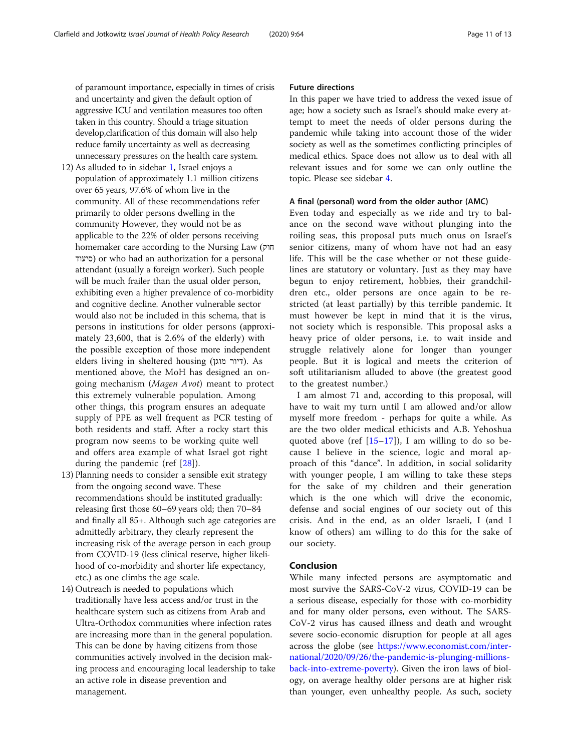of paramount importance, especially in times of crisis and uncertainty and given the default option of aggressive ICU and ventilation measures too often taken in this country. Should a triage situation develop,clarification of this domain will also help reduce family uncertainty as well as decreasing unnecessary pressures on the health care system.

- 12) As alluded to in sidebar [1,](#page-11-0) Israel enjoys a population of approximately 1.1 million citizens over 65 years, 97.6% of whom live in the community. All of these recommendations refer primarily to older persons dwelling in the community However, they would not be as applicable to the 22% of older persons receiving homemaker care according to the Nursing Law (חוק סיעוד (or who had an authorization for a personal attendant (usually a foreign worker). Such people will be much frailer than the usual older person, exhibiting even a higher prevalence of co-morbidity and cognitive decline. Another vulnerable sector would also not be included in this schema, that is persons in institutions for older persons (approximately 23,600, that is 2.6% of the elderly) with the possible exception of those more independent elders living in sheltered housing (דיור מוגן). As mentioned above, the MoH has designed an ongoing mechanism (Magen Avot) meant to protect this extremely vulnerable population. Among other things, this program ensures an adequate supply of PPE as well frequent as PCR testing of both residents and staff. After a rocky start this program now seems to be working quite well and offers area example of what Israel got right during the pandemic (ref [\[28](#page-12-0)]).
- 13) Planning needs to consider a sensible exit strategy from the ongoing second wave. These recommendations should be instituted gradually: releasing first those 60–69 years old; then 70–84 and finally all 85+. Although such age categories are admittedly arbitrary, they clearly represent the increasing risk of the average person in each group from COVID-19 (less clinical reserve, higher likelihood of co-morbidity and shorter life expectancy, etc.) as one climbs the age scale.
- 14) Outreach is needed to populations which traditionally have less access and/or trust in the healthcare system such as citizens from Arab and Ultra-Orthodox communities where infection rates are increasing more than in the general population. This can be done by having citizens from those communities actively involved in the decision making process and encouraging local leadership to take an active role in disease prevention and management.

# Future directions

In this paper we have tried to address the vexed issue of age; how a society such as Israel's should make every attempt to meet the needs of older persons during the pandemic while taking into account those of the wider society as well as the sometimes conflicting principles of medical ethics. Space does not allow us to deal with all relevant issues and for some we can only outline the topic. Please see sidebar [4.](#page-11-0)

# A final (personal) word from the older author (AMC)

Even today and especially as we ride and try to balance on the second wave without plunging into the roiling seas, this proposal puts much onus on Israel's senior citizens, many of whom have not had an easy life. This will be the case whether or not these guidelines are statutory or voluntary. Just as they may have begun to enjoy retirement, hobbies, their grandchildren etc., older persons are once again to be restricted (at least partially) by this terrible pandemic. It must however be kept in mind that it is the virus, not society which is responsible. This proposal asks a heavy price of older persons, i.e. to wait inside and struggle relatively alone for longer than younger people. But it is logical and meets the criterion of soft utilitarianism alluded to above (the greatest good to the greatest number.)

I am almost 71 and, according to this proposal, will have to wait my turn until I am allowed and/or allow myself more freedom - perhaps for quite a while. As are the two older medical ethicists and A.B. Yehoshua quoted above (ref  $[15-17]$  $[15-17]$  $[15-17]$  $[15-17]$ ), I am willing to do so because I believe in the science, logic and moral approach of this "dance". In addition, in social solidarity with younger people, I am willing to take these steps for the sake of my children and their generation which is the one which will drive the economic, defense and social engines of our society out of this crisis. And in the end, as an older Israeli, I (and I know of others) am willing to do this for the sake of our society.

# Conclusion

While many infected persons are asymptomatic and most survive the SARS-CoV-2 virus, COVID-19 can be a serious disease, especially for those with co-morbidity and for many older persons, even without. The SARS-CoV-2 virus has caused illness and death and wrought severe socio-economic disruption for people at all ages across the globe (see [https://www.economist.com/inter](https://www.economist.com/international/2020/09/26/the-pandemic-is-plunging-millions-back-into-extreme-poverty)[national/2020/09/26/the-pandemic-is-plunging-millions](https://www.economist.com/international/2020/09/26/the-pandemic-is-plunging-millions-back-into-extreme-poverty)[back-into-extreme-poverty](https://www.economist.com/international/2020/09/26/the-pandemic-is-plunging-millions-back-into-extreme-poverty)). Given the iron laws of biology, on average healthy older persons are at higher risk than younger, even unhealthy people. As such, society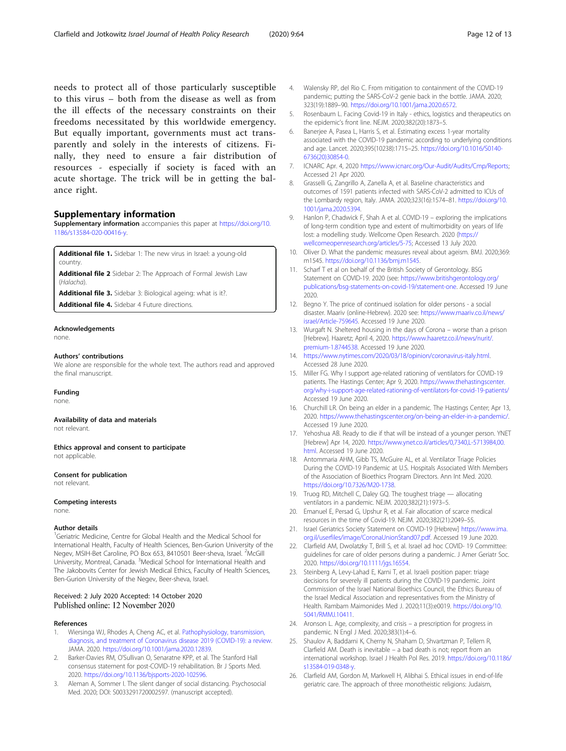<span id="page-11-0"></span>needs to protect all of those particularly susceptible to this virus – both from the disease as well as from the ill effects of the necessary constraints on their freedoms necessitated by this worldwide emergency. But equally important, governments must act transparently and solely in the interests of citizens. Finally, they need to ensure a fair distribution of resources - especially if society is faced with an acute shortage. The trick will be in getting the balance right.

# Supplementary information

Supplementary information accompanies this paper at [https://doi.org/10.](https://doi.org/10.1186/s13584-020-00416-y) [1186/s13584-020-00416-y](https://doi.org/10.1186/s13584-020-00416-y).

Additional file 1. Sidebar 1: The new virus in Israel: a young-old country.

Additional file 2 Sidebar 2: The Approach of Formal Jewish Law (Halacha).

Additional file 3. Sidebar 3: Biological ageing: what is it?. Additional file 4. Sidebar 4 Future directions

#### Acknowledgements

none.

#### Authors' contributions

We alone are responsible for the whole text. The authors read and approved the final manuscript.

# Funding

none.

#### Availability of data and materials not relevant.

Ethics approval and consent to participate not applicable.

#### Consent for publication

not relevant.

#### Competing interests none.

# Author details

<sup>1</sup>Geriatric Medicine, Centre for Global Health and the Medical School for International Health, Faculty of Health Sciences, Ben-Gurion University of the Negev, MSIH-Bet Caroline, PO Box 653, 8410501 Beer-sheva, Israel. <sup>2</sup>McGill University, Montreal, Canada. <sup>3</sup>Medical School for International Health and The Jakobovits Center for Jewish Medical Ethics, Faculty of Health Sciences, Ben-Gurion University of the Negev, Beer-sheva, Israel.

#### Received: 2 July 2020 Accepted: 14 October 2020 Published online: 12 November 2020

#### References

- 1. Wiersinga WJ, Rhodes A, Cheng AC, et al. [Pathophysiology, transmission,](http://click.alerts.jamanetwork.com/click/axac-24n1h8-owlnu7-1b5az3i6/) [diagnosis, and treatment of Coronavirus disease 2019 \(COVID-19\): a review](http://click.alerts.jamanetwork.com/click/axac-24n1h8-owlnu7-1b5az3i6/). JAMA. 2020. <https://doi.org/10.1001/jama.2020.12839>.
- 2. Barker-Davies RM, O'Sullivan O, Senaratne KPP, et al. The Stanford Hall consensus statement for post-COVID-19 rehabilitation. Br J Sports Med. 2020. [https://doi.org/10.1136/bjsports-2020-102596.](https://doi.org/10.1136/bjsports-2020-102596)
- 3. Aleman A, Sommer I. The silent danger of social distancing. Psychosocial Med. 2020; DOI: S0033291720002597. (manuscript accepted).
- 4. Walensky RP, del Rio C. From mitigation to containment of the COVID-19 pandemic; putting the SARS-CoV-2 genie back in the bottle. JAMA. 2020; 323(19):1889–90. [https://doi.org/10.1001/jama.2020.6572.](https://doi.org/10.1001/jama.2020.6572)
- 5. Rosenbaum L. Facing Covid-19 in Italy ethics, logistics and therapeutics on the epidemic's front line. NEJM. 2020;382(20):1873–5.
- 6. Banerjee A, Pasea L, Harris S, et al. Estimating excess 1-year mortality associated with the COVID-19 pandemic according to underlying conditions and age. Lancet. 2020;395(10238):1715–25. [https://doi.org/10.1016/S0140-](https://doi.org/10.1016/S0140-6736(20)30854-0) [6736\(20\)30854-0](https://doi.org/10.1016/S0140-6736(20)30854-0).
- 7. ICNARC Apr. 4, 2020 <https://www.icnarc.org/Our-Audit/Audits/Cmp/Reports>; Accessed 21 Apr 2020.
- 8. Grasselli G, Zangrillo A, Zanella A, et al. Baseline characteristics and outcomes of 1591 patients infected with SARS-CoV-2 admitted to ICUs of the Lombardy region, Italy. JAMA. 2020;323(16):1574–81. [https://doi.org/10.](https://doi.org/10.1001/jama.2020.5394) [1001/jama.2020.5394](https://doi.org/10.1001/jama.2020.5394).
- 9. Hanlon P, Chadwick F, Shah A et al. COVID-19 exploring the implications of long-term condition type and extent of multimorbidity on years of life lost: a modelling study. Wellcome Open Research. 2020 ([https://](https://wellcomeopenresearch.org/articles/5-75) [wellcomeopenresearch.org/articles/5-75](https://wellcomeopenresearch.org/articles/5-75); Accessed 13 July 2020.
- 10. Oliver D. What the pandemic measures reveal about ageism. BMJ. 2020;369: m1545. <https://doi.org/10.1136/bmj.m1545>.
- 11. Scharf T et al on behalf of the British Society of Gerontology. BSG Statement on COVID-19. 2020 (see: [https://www.britishgerontology.org/](https://www.britishgerontology.org/publications/bsg-statements-on-covid-19/statement-one) [publications/bsg-statements-on-covid-19/statement-one](https://www.britishgerontology.org/publications/bsg-statements-on-covid-19/statement-one). Accessed 19 June 2020.
- 12. Begno Y. The price of continued isolation for older persons a social disaster. Maariv (online-Hebrew). 2020 see: [https://www.maariv.co.il/news/](https://www.maariv.co.il/news/israel/Article-759645) [israel/Article-759645.](https://www.maariv.co.il/news/israel/Article-759645) Accessed 19 June 2020.
- 13. Wurgaft N. Sheltered housing in the days of Corona worse than a prison [Hebrew]. Haaretz; April 4, 2020. [https://www.haaretz.co.il/news/nurit/.](https://www.haaretz.co.il/news/nurit/.premium-1.8744538) [premium-1.8744538](https://www.haaretz.co.il/news/nurit/.premium-1.8744538). Accessed 19 June 2020.
- 14. <https://www.nytimes.com/2020/03/18/opinion/coronavirus-italy.html>. Accessed 28 June 2020.
- 15. Miller FG. Why I support age-related rationing of ventilators for COVID-19 patients. The Hastings Center; Apr 9, 2020. [https://www.thehastingscenter.](https://www.thehastingscenter.org/why-i-support-age-related-rationing-of-ventilators-for-covid-19-patients/) [org/why-i-support-age-related-rationing-of-ventilators-for-covid-19-patients/](https://www.thehastingscenter.org/why-i-support-age-related-rationing-of-ventilators-for-covid-19-patients/) Accessed 19 June 2020.
- 16. Churchill LR. On being an elder in a pandemic. The Hastings Center; Apr 13, 2020. <https://www.thehastingscenter.org/on-being-an-elder-in-a-pandemic/>. Accessed 19 June 2020.
- 17. Yehoshua AB. Ready to die if that will be instead of a younger person. YNET [Hebrew] Apr 14, 2020. [https://www.ynet.co.il/articles/0,7340,L-5713984,00.](https://www.ynet.co.il/articles/0,7340,L-5713984,00.html) [html.](https://www.ynet.co.il/articles/0,7340,L-5713984,00.html) Accessed 19 June 2020.
- 18. Antommaria AHM, Gibb TS, McGuire AL, et al. Ventilator Triage Policies During the COVID-19 Pandemic at U.S. Hospitals Associated With Members of the Association of Bioethics Program Directors. Ann Int Med. 2020. [https://doi.org/10.7326/M20-1738.](https://doi.org/10.7326/M20-1738)
- 19. Truog RD, Mitchell C, Daley GQ. The toughest triage allocating ventilators in a pandemic. NEJM. 2020;382(21):1973–5.
- 20. Emanuel E, Persad G, Upshur R, et al. Fair allocation of scarce medical resources in the time of Covid-19. NEJM. 2020;382(21):2049–55.
- 21. Israel Geriatrics Society Statement on COVID-19 [Hebrew] [https://www.ima.](https://www.ima.org.il/userfiles/image/CoronaUnionStand07.pdf) [org.il/userfiles/image/CoronaUnionStand07.pdf](https://www.ima.org.il/userfiles/image/CoronaUnionStand07.pdf). Accessed 19 June 2020.
- 22. Clarfield AM, Dwolatzky T, Brill S, et al. Israel ad hoc COVID- 19 Committee: guidelines for care of older persons during a pandemic. J Amer Geriatr Soc. 2020. <https://doi.org/10.1111/jgs.16554>.
- 23. Steinberg A, Levy-Lahad E, Karni T, et al. Israeli position paper: triage decisions for severely ill patients during the COVID-19 pandemic. Joint Commission of the Israel National Bioethics Council, the Ethics Bureau of the Israel Medical Association and representatives from the Ministry of Health. Rambam Maimonides Med J. 2020;11(3):e0019. [https://doi.org/10.](https://doi.org/10.5041/RMMJ.10411) [5041/RMMJ.10411](https://doi.org/10.5041/RMMJ.10411).
- 24. Aronson L. Age, complexity, and crisis a prescription for progress in pandemic. N Engl J Med. 2020;383(1):4–6.
- 25. Shaulov A, Baddarni K, Cherny N, Shaham D, Shvartzman P, Tellem R, Clarfield AM. Death is inevitable – a bad death is not; report from an international workshop. Israel J Health Pol Res. 2019. [https://doi.org/10.1186/](https://doi.org/10.1186/s13584-019-0348-y) [s13584-019-0348-y.](https://doi.org/10.1186/s13584-019-0348-y)
- 26. Clarfield AM, Gordon M, Markwell H, Alibhai S. Ethical issues in end-of-life geriatric care. The approach of three monotheistic religions: Judaism,